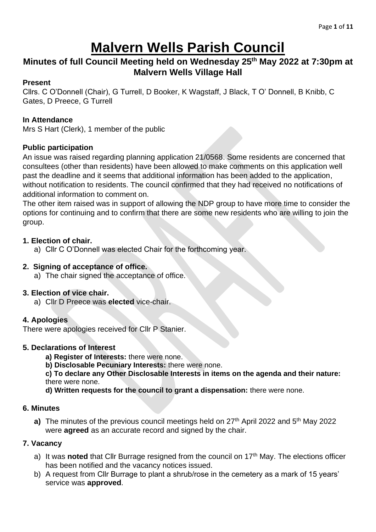## **Malvern Wells Parish Council**

## **Minutes of full Council Meeting held on Wednesday 25 th May 2022 at 7:30pm at Malvern Wells Village Hall**

#### **Present**

Cllrs. C O'Donnell (Chair), G Turrell, D Booker, K Wagstaff, J Black, T O' Donnell, B Knibb, C Gates, D Preece, G Turrell

#### **In Attendance**

Mrs S Hart (Clerk), 1 member of the public

#### **Public participation**

An issue was raised regarding planning application 21/0568. Some residents are concerned that consultees (other than residents) have been allowed to make comments on this application well past the deadline and it seems that additional information has been added to the application, without notification to residents. The council confirmed that they had received no notifications of additional information to comment on.

The other item raised was in support of allowing the NDP group to have more time to consider the options for continuing and to confirm that there are some new residents who are willing to join the group.

#### **1. Election of chair.**

a) Cllr C O'Donnell was elected Chair for the forthcoming year.

#### **2. Signing of acceptance of office.**

a) The chair signed the acceptance of office.

#### **3. Election of vice chair.**

a) Cllr D Preece was **elected** vice-chair.

#### **4. Apologies**

There were apologies received for Cllr P Stanier.

#### **5. Declarations of Interest**

- **a) Register of Interests:** there were none.
- **b) Disclosable Pecuniary Interests:** there were none.

**c) To declare any Other Disclosable Interests in items on the agenda and their nature:**  there were none.

**d) Written requests for the council to grant a dispensation:** there were none.

#### **6. Minutes**

**a)** The minutes of the previous council meetings held on 27<sup>th</sup> April 2022 and 5<sup>th</sup> May 2022 were **agreed** as an accurate record and signed by the chair.

#### **7. Vacancy**

- a) It was **noted** that Cllr Burrage resigned from the council on 17<sup>th</sup> May. The elections officer has been notified and the vacancy notices issued.
- b) A request from Cllr Burrage to plant a shrub/rose in the cemetery as a mark of 15 years' service was **approved**.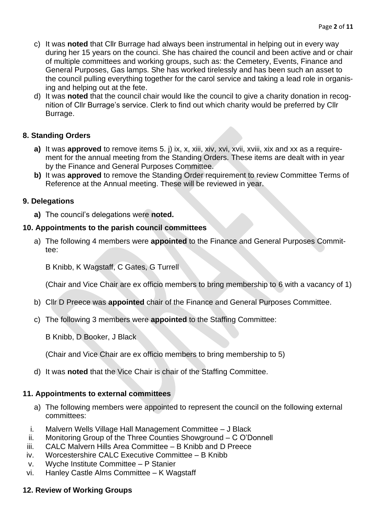- c) It was **noted** that Cllr Burrage had always been instrumental in helping out in every way during her 15 years on the counci. She has chaired the council and been active and or chair of multiple committees and working groups, such as: the Cemetery, Events, Finance and General Purposes, Gas lamps. She has worked tirelessly and has been such an asset to the council pulling everything together for the carol service and taking a lead role in organising and helping out at the fete.
- d) It was **noted** that the council chair would like the council to give a charity donation in recognition of Cllr Burrage's service. Clerk to find out which charity would be preferred by Cllr Burrage.

#### **8. Standing Orders**

- **a)** It was **approved** to remove items 5. j) ix, x, xiii, xiv, xvi, xvii, xviii, xix and xx as a requirement for the annual meeting from the Standing Orders. These items are dealt with in year by the Finance and General Purposes Committee.
- **b)** It was **approved** to remove the Standing Order requirement to review Committee Terms of Reference at the Annual meeting. These will be reviewed in year.

#### **9. Delegations**

**a)** The council's delegations were **noted.**

#### **10. Appointments to the parish council committees**

a) The following 4 members were **appointed** to the Finance and General Purposes Committee:

B Knibb, K Wagstaff, C Gates, G Turrell

(Chair and Vice Chair are ex officio members to bring membership to 6 with a vacancy of 1)

- b) Cllr D Preece was **appointed** chair of the Finance and General Purposes Committee.
- c) The following 3 members were **appointed** to the Staffing Committee:

B Knibb, D Booker, J Black

(Chair and Vice Chair are ex officio members to bring membership to 5)

d) It was **noted** that the Vice Chair is chair of the Staffing Committee.

#### **11. Appointments to external committees**

- a) The following members were appointed to represent the council on the following external committees:
- i. Malvern Wells Village Hall Management Committee J Black
- ii. Monitoring Group of the Three Counties Showground C O'Donnell
- iii. CALC Malvern Hills Area Committee B Knibb and D Preece
- iv. Worcestershire CALC Executive Committee B Knibb
- v. Wyche Institute Committee P Stanier
- vi. Hanley Castle Alms Committee K Wagstaff

#### **12. Review of Working Groups**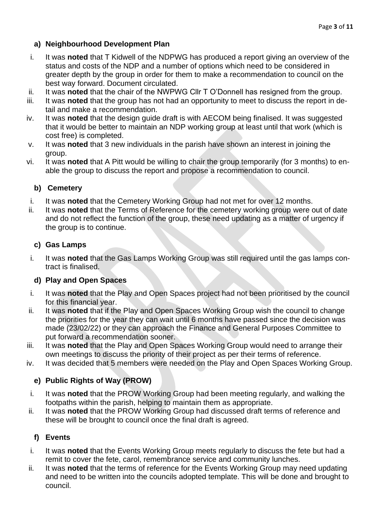- i. It was **noted** that T Kidwell of the NDPWG has produced a report giving an overview of the status and costs of the NDP and a number of options which need to be considered in greater depth by the group in order for them to make a recommendation to council on the best way forward. Document circulated.
- ii. It was **noted** that the chair of the NWPWG Cllr T O'Donnell has resigned from the group.
- iii. It was **noted** that the group has not had an opportunity to meet to discuss the report in detail and make a recommendation.
- iv. It was **noted** that the design guide draft is with AECOM being finalised. It was suggested that it would be better to maintain an NDP working group at least until that work (which is cost free) is completed.
- v. It was **noted** that 3 new individuals in the parish have shown an interest in joining the group.
- vi. It was **noted** that A Pitt would be willing to chair the group temporarily (for 3 months) to enable the group to discuss the report and propose a recommendation to council.

## **b) Cemetery**

- i. It was **noted** that the Cemetery Working Group had not met for over 12 months.
- ii. It was **noted** that the Terms of Reference for the cemetery working group were out of date and do not reflect the function of the group, these need updating as a matter of urgency if the group is to continue.

## **c) Gas Lamps**

i. It was **noted** that the Gas Lamps Working Group was still required until the gas lamps contract is finalised.

## **d) Play and Open Spaces**

- i. It was **noted** that the Play and Open Spaces project had not been prioritised by the council for this financial year.
- ii. It was **noted** that if the Play and Open Spaces Working Group wish the council to change the priorities for the year they can wait until 6 months have passed since the decision was made (23/02/22) or they can approach the Finance and General Purposes Committee to put forward a recommendation sooner.
- iii. It was **noted** that the Play and Open Spaces Working Group would need to arrange their own meetings to discuss the priority of their project as per their terms of reference.
- iv. It was decided that 5 members were needed on the Play and Open Spaces Working Group.

## **e) Public Rights of Way (PROW)**

- i. It was **noted** that the PROW Working Group had been meeting regularly, and walking the footpaths within the parish, helping to maintain them as appropriate.
- ii. It was **noted** that the PROW Working Group had discussed draft terms of reference and these will be brought to council once the final draft is agreed.

## **f) Events**

- i. It was **noted** that the Events Working Group meets regularly to discuss the fete but had a remit to cover the fete, carol, remembrance service and community lunches.
- ii. It was **noted** that the terms of reference for the Events Working Group may need updating and need to be written into the councils adopted template. This will be done and brought to council.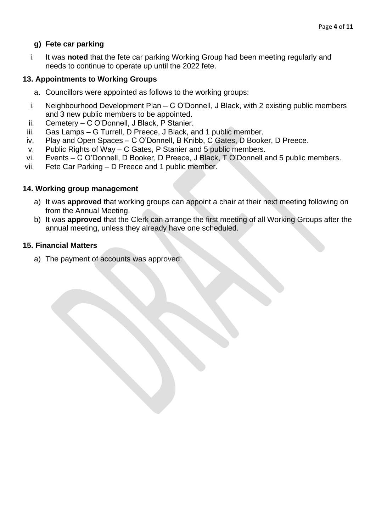#### **g) Fete car parking**

i. It was **noted** that the fete car parking Working Group had been meeting regularly and needs to continue to operate up until the 2022 fete.

#### **13. Appointments to Working Groups**

- a. Councillors were appointed as follows to the working groups:
- i. Neighbourhood Development Plan C O'Donnell, J Black, with 2 existing public members and 3 new public members to be appointed.
- ii. Cemetery C O'Donnell, J Black, P Stanier.
- iii. Gas Lamps G Turrell, D Preece, J Black, and 1 public member.
- iv. Play and Open Spaces C O'Donnell, B Knibb, C Gates, D Booker, D Preece.
- v. Public Rights of Way C Gates, P Stanier and 5 public members.
- vi. Events C O'Donnell, D Booker, D Preece, J Black, T O'Donnell and 5 public members.
- vii. Fete Car Parking D Preece and 1 public member.

#### **14. Working group management**

- a) It was **approved** that working groups can appoint a chair at their next meeting following on from the Annual Meeting.
- b) It was **approved** that the Clerk can arrange the first meeting of all Working Groups after the annual meeting, unless they already have one scheduled.

#### **15. Financial Matters**

a) The payment of accounts was approved: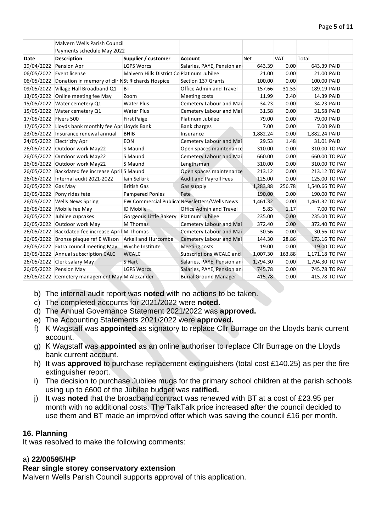|                       | Malvern Wells Parish Council                     |                                            |                                              |          |            |                 |               |
|-----------------------|--------------------------------------------------|--------------------------------------------|----------------------------------------------|----------|------------|-----------------|---------------|
|                       | Payments schedule May 2022                       |                                            |                                              |          |            |                 |               |
| Date                  | <b>Description</b>                               | Supplier / customer                        | <b>Account</b>                               | Net      | <b>VAT</b> | Total           |               |
| 29/04/2022            | Pension Apr                                      | <b>LGPS Worcs</b>                          | Salaries, PAYE, Pension and                  | 643.39   | 0.00       | 643.39 PAID     |               |
|                       | 06/05/2022 Event license                         | Malvern Hills District Co Platinum Jubilee |                                              | 21.00    | 0.00       | 21.00 PAID      |               |
| 06/05/2022            | Donation in memory of cllr NSt Richards Hospice  |                                            | Section 137 Grants                           | 100.00   | 0.00       | 100.00 PAID     |               |
| 09/05/2022            | Village Hall Broadband Q1                        | <b>BT</b>                                  | <b>Office Admin and Travel</b>               | 157.66   | 31.53      | 189.19 PAID     |               |
| 13/05/2022            | Online meeting fee May                           | Zoom                                       | Meeting costs                                | 11.99    | 2.40       | 14.39 PAID      |               |
| 15/05/2022            | Water cemetery Q1                                | <b>Water Plus</b>                          | Cemetery Labour and Mai                      | 34.23    | 0.00       | 34.23 PAID      |               |
| 15/05/2022            | Water cemetery Q1                                | <b>Water Plus</b>                          | Cemetery Labour and Mai                      | 31.58    | 0.00       | 31.58 PAID      |               |
| 17/05/2022 Flyers 500 |                                                  | <b>First Paige</b>                         | Platinum Jubilee                             | 79.00    | 0.00       | 79.00 PAID      |               |
| 17/05/2022            | Lloyds bank monthly fee Apr Lloyds Bank          |                                            | <b>Bank charges</b>                          | 7.00     | 0.00       |                 | 7.00 PAID     |
| 23/05/2022            | Insurance renewal annual                         | <b>BHIB</b>                                | Insurance                                    | 1,882.24 | 0.00       | 1,882.24 PAID   |               |
|                       | 24/05/2022 Electricity Apr                       | <b>EON</b>                                 | Cemetery Labour and Mai                      | 29.53    | 1.48       | 31.01 PAID      |               |
| 26/05/2022            | Outdoor work May22                               | S Maund                                    | Open spaces maintenance                      | 310.00   | 0.00       |                 | 310.00 TO PAY |
| 26/05/2022            | Outdoor work May22                               | S Maund                                    | Cemetery Labour and Mai                      | 660.00   | 0.00       |                 | 660.00 TO PAY |
|                       | 26/05/2022 Outdoor work May22                    | S Maund                                    | Lengthsman                                   | 310.00   | 0.00       |                 | 310.00 TO PAY |
| 26/05/2022            | Backdated fee increase April S Maund             |                                            | Open spaces maintenance                      | 213.12   | 0.00       |                 | 213.12 TO PAY |
|                       | 26/05/2022 Internal audit 2021-2022              | Iain Selkirk                               | <b>Audit and Payroll Fees</b>                | 125.00   | 0.00       |                 | 125.00 TO PAY |
| 26/05/2022            | Gas May                                          | <b>British Gas</b>                         | Gas supply                                   | 1,283.88 | 256.78     | 1,540.66 TO PAY |               |
| 26/05/2022            | Pony rides fete                                  | <b>Pampered Ponies</b>                     | Fete                                         | 190.00   | 0.00       |                 | 190.00 TO PAY |
| 26/05/2022            | <b>Wells News Spring</b>                         |                                            | EW Commercial Publica Newsletters/Wells News | 1,461.32 | 0.00       | 1,461.32 TO PAY |               |
|                       | 26/05/2022 Mobile fee May                        | ID Mobile                                  | <b>Office Admin and Travel</b>               | 5.83     | 1.17       |                 | 7.00 TO PAY   |
| 26/05/2022            | Jubilee cupcakes                                 | Gorgeous Little Bakery                     | Platinum Jubilee                             | 235.00   | 0.00       |                 | 235.00 TO PAY |
| 26/05/2022            | Outdoor work May                                 | M Thomas                                   | Cemetery Labour and Mai                      | 372.40   | 0.00       |                 | 372.40 TO PAY |
|                       | 26/05/2022 Backdated fee increase April M Thomas |                                            | Cemetery Labour and Mai                      | 30.56    | 0.00       |                 | 30.56 TO PAY  |
| 26/05/2022            | Bronze plaque ref E Wilson                       | <b>Arkell and Hurcombe</b>                 | Cemetery Labour and Mai                      | 144.30   | 28.86      |                 | 173.16 TO PAY |
| 26/05/2022            | Extra council meeting May                        | Wyche Institute                            | <b>Meeting costs</b>                         | 19.00    | 0.00       |                 | 19.00 TO PAY  |
|                       | 26/05/2022 Annual subscription CALC              | <b>WCALC</b>                               | Subscriptions WCALC and                      | 1,007.30 | 163.88     | 1,171.18 TO PAY |               |
|                       | 26/05/2022 Clerk salary May                      | S Hart                                     | Salaries, PAYE, Pension and                  | 1,794.30 | 0.00       | 1,794.30 TO PAY |               |
| 26/05/2022            | Pension May                                      | <b>LGPS Worcs</b>                          | Salaries, PAYE, Pension and                  | 745.78   | 0.00       |                 | 745.78 TO PAY |
|                       | 26/05/2022 Cemetery management May M Alexander   |                                            | <b>Burial Ground Manager</b>                 | 415.78   | 0.00       |                 | 415.78 TO PAY |

- b) The internal audit report was **noted** with no actions to be taken.
- c) The completed accounts for 2021/2022 were **noted.**
- d) The Annual Governance Statement 2021/2022 was **approved.**
- e) The Accounting Statements 2021/2022 were **approved.**
- f) K Wagstaff was **appointed** as signatory to replace Cllr Burrage on the Lloyds bank current account.
- g) K Wagstaff was **appointed** as an online authoriser to replace Cllr Burrage on the Lloyds bank current account.
- h) It was **approved** to purchase replacement extinguishers (total cost £140.25) as per the fire extinguisher report.
- i) The decision to purchase Jubilee mugs for the primary school children at the parish schools using up to £600 of the Jubilee budget was **ratified.**
- j) It was **noted** that the broadband contract was renewed with BT at a cost of £23.95 per month with no additional costs. The TalkTalk price increased after the council decided to use them and BT made an improved offer which was saving the council £16 per month.

#### **16. Planning**

It was resolved to make the following comments:

#### a) **22/00595/HP**

#### **Rear single storey conservatory extension**

Malvern Wells Parish Council supports approval of this application.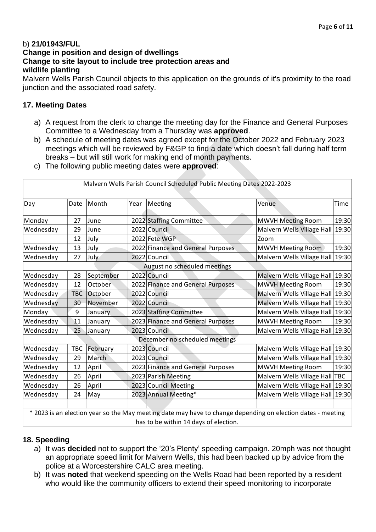#### b) **21/01943/FUL Change in position and design of dwellings Change to site layout to include tree protection areas and wildlife planting**

Malvern Wells Parish Council objects to this application on the grounds of it's proximity to the road junction and the associated road safety.

#### **17. Meeting Dates**

- a) A request from the clerk to change the meeting day for the Finance and General Purposes Committee to a Wednesday from a Thursday was **approved**.
- b) A schedule of meeting dates was agreed except for the October 2022 and February 2023 meetings which will be reviewed by F&GP to find a date which doesn't fall during half term breaks – but will still work for making end of month payments.
- c) The following public meeting dates were **approved**:

|           |            |           |      | Malvern Wells Parish Council Scheduled Public Meeting Dates 2022-2023 |                                  |             |
|-----------|------------|-----------|------|-----------------------------------------------------------------------|----------------------------------|-------------|
| Day       | Date       | Month     | Year | Meeting                                                               | Venue                            | <b>Time</b> |
| Monday    | 27         | June      |      | 2022 Staffing Committee                                               | MWVH Meeting Room                | 19:30       |
| Wednesday | 29         | June      |      | 2022 Council                                                          | Malvern Wells Village Hall       | 19:30       |
|           | 12         | July      |      | 2022 Fete WGP                                                         | Zoom                             |             |
| Wednesday | 13         | July      |      | 2022 Finance and General Purposes                                     | MWVH Meeting Room                | 19:30       |
| Wednesday | 27         | July      |      | 2022 Council                                                          | Malvern Wells Village Hall 19:30 |             |
|           |            |           |      | August no scheduled meetings                                          |                                  |             |
| Wednesday | 28         | September |      | 2022 Council                                                          | Malvern Wells Village Hall 19:30 |             |
| Wednesday | 12         | October   |      | 2022 Finance and General Purposes                                     | <b>MWVH Meeting Room</b>         | 19:30       |
| Wednesday | <b>TBC</b> | October   |      | 2022 Council                                                          | Malvern Wells Village Hall 19:30 |             |
| Wednesday | 30         | November  |      | 2022 Council                                                          | Malvern Wells Village Hall 19:30 |             |
| Monday    | 9          | January   |      | 2023 Staffing Committee                                               | Malvern Wells Village Hall       | 19:30       |
| Wednesday | 11         | January   |      | 2023 Finance and General Purposes                                     | MWVH Meeting Room                | 19:30       |
| Wednesday | 25         | January   |      | 2023 Council                                                          | Malvern Wells Village Hall       | 19:30       |
|           |            |           |      | December no scheduled meetings                                        |                                  |             |
| Wednesday | <b>TBC</b> | February  |      | 2023 Council                                                          | Malvern Wells Village Hall 19:30 |             |
| Wednesday | 29         | March     |      | 2023 Council                                                          | Malvern Wells Village Hall 19:30 |             |
| Wednesday | 12         | April     |      | 2023 Finance and General Purposes                                     | MWVH Meeting Room                | 19:30       |
| Wednesday | 26         | April     |      | 2023 Parish Meeting                                                   | Malvern Wells Village Hall   TBC |             |
| Wednesday | 26         | April     |      | 2023 Council Meeting                                                  | Malvern Wells Village Hall 19:30 |             |
| Wednesday | 24         | May       |      | 2023 Annual Meeting*                                                  | Malvern Wells Village Hall 19:30 |             |
|           |            |           |      |                                                                       |                                  |             |

\* 2023 is an election year so the May meeting date may have to change depending on election dates - meeting has to be within 14 days of election.

#### **18. Speeding**

- a) It was **decided** not to support the '20's Plenty' speeding campaign. 20mph was not thought an appropriate speed limit for Malvern Wells, this had been backed up by advice from the police at a Worcestershire CALC area meeting.
- b) It was **noted** that weekend speeding on the Wells Road had been reported by a resident who would like the community officers to extend their speed monitoring to incorporate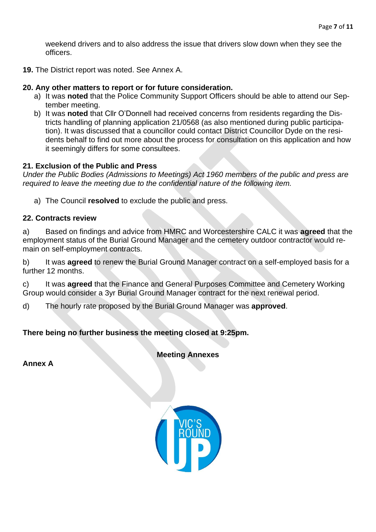weekend drivers and to also address the issue that drivers slow down when they see the officers.

**19.** The District report was noted. See Annex A.

#### **20. Any other matters to report or for future consideration.**

- a) It was **noted** that the Police Community Support Officers should be able to attend our September meeting.
- b) It was **noted** that Cllr O'Donnell had received concerns from residents regarding the Districts handling of planning application 21/0568 (as also mentioned during public participation). It was discussed that a councillor could contact District Councillor Dyde on the residents behalf to find out more about the process for consultation on this application and how it seemingly differs for some consultees.

#### **21. Exclusion of the Public and Press**

*Under the Public Bodies (Admissions to Meetings) Act 1960 members of the public and press are required to leave the meeting due to the confidential nature of the following item.*

a) The Council **resolved** to exclude the public and press.

#### **22. Contracts review**

a) Based on findings and advice from HMRC and Worcestershire CALC it was **agreed** that the employment status of the Burial Ground Manager and the cemetery outdoor contractor would remain on self-employment contracts.

b) It was **agreed** to renew the Burial Ground Manager contract on a self-employed basis for a further 12 months.

c) It was **agreed** that the Finance and General Purposes Committee and Cemetery Working Group would consider a 3yr Burial Ground Manager contract for the next renewal period.

d) The hourly rate proposed by the Burial Ground Manager was **approved**.

#### **There being no further business the meeting closed at 9:25pm.**

**Meeting Annexes**

**Annex A**

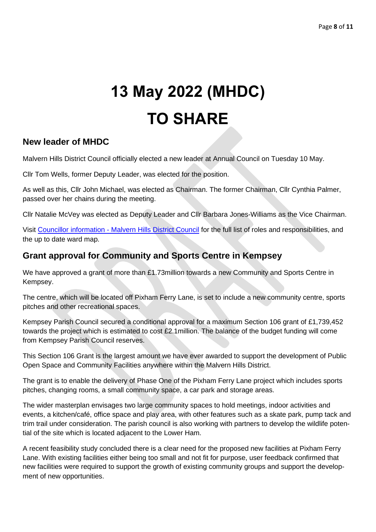# **13 May 2022 (MHDC) TO SHARE**

## **New leader of MHDC**

Malvern Hills District Council officially elected a new leader at Annual Council on Tuesday 10 May.

Cllr Tom Wells, former Deputy Leader, was elected for the position.

As well as this, Cllr John Michael, was elected as Chairman. The former Chairman, Cllr Cynthia Palmer, passed over her chains during the meeting.

Cllr Natalie McVey was elected as Deputy Leader and Cllr Barbara Jones-Williams as the Vice Chairman.

Visit Councillor information - [Malvern Hills District Council](https://www.malvernhills.gov.uk/about-your-council/councillor-information) for the full list of roles and responsibilities, and the up to date ward map.

## **Grant approval for Community and Sports Centre in Kempsey**

We have approved a grant of more than £1.73million towards a new Community and Sports Centre in Kempsey.

The centre, which will be located off Pixham Ferry Lane, is set to include a new community centre, sports pitches and other recreational spaces.

Kempsey Parish Council secured a conditional approval for a maximum Section 106 grant of £1,739,452 towards the project which is estimated to cost £2.1million. The balance of the budget funding will come from Kempsey Parish Council reserves.

This Section 106 Grant is the largest amount we have ever awarded to support the development of Public Open Space and Community Facilities anywhere within the Malvern Hills District.

The grant is to enable the delivery of Phase One of the Pixham Ferry Lane project which includes sports pitches, changing rooms, a small community space, a car park and storage areas.

The wider masterplan envisages two large community spaces to hold meetings, indoor activities and events, a kitchen/café, office space and play area, with other features such as a skate park, pump tack and trim trail under consideration. The parish council is also working with partners to develop the wildlife potential of the site which is located adjacent to the Lower Ham.

A recent feasibility study concluded there is a clear need for the proposed new facilities at Pixham Ferry Lane. With existing facilities either being too small and not fit for purpose, user feedback confirmed that new facilities were required to support the growth of existing community groups and support the development of new opportunities.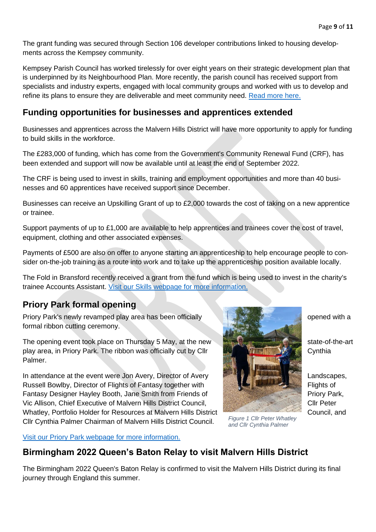The grant funding was secured through Section 106 developer contributions linked to housing developments across the Kempsey community.

Kempsey Parish Council has worked tirelessly for over eight years on their strategic development plan that is underpinned by its Neighbourhood Plan. More recently, the parish council has received support from specialists and industry experts, engaged with local community groups and worked with us to develop and refine its plans to ensure they are deliverable and meet community need. [Read more here.](https://www.malvernhills.gov.uk/news-alerts/mhdc-approves-1-73million-grant)

## **Funding opportunities for businesses and apprentices extended**

Businesses and apprentices across the Malvern Hills District will have more opportunity to apply for funding to build skills in the workforce.

The £283,000 of funding, which has come from the Government's Community Renewal Fund (CRF), has been extended and support will now be available until at least the end of September 2022.

The CRF is being used to invest in skills, training and employment opportunities and more than 40 businesses and 60 apprentices have received support since December.

Businesses can receive an Upskilling Grant of up to £2,000 towards the cost of taking on a new apprentice or trainee.

Support payments of up to £1,000 are available to help apprentices and trainees cover the cost of travel, equipment, clothing and other associated expenses.

Payments of £500 are also on offer to anyone starting an apprenticeship to help encourage people to consider on-the-job training as a route into work and to take up the apprenticeship position available locally.

The Fold in Bransford recently received a grant from the fund which is being used to invest in the charity's trainee Accounts Assistant. [Visit our Skills webpage for more information.](http://www.malvernhills.gov.uk/skills)

## **Priory Park formal opening**

Priory Park's newly revamped play area has been officially **the state of the state of the contract of the state of** opened with a formal ribbon cutting ceremony.

The opening event took place on Thursday 5 May, at the new play area, in Priory Park. The ribbon was officially cut by Cllr Cynthia Cynthia Palmer.

In attendance at the event were Jon Avery, Director of Avery Landscapes, Landscapes, Russell Bowlby, Director of Flights of Fantasy together with Flights of Flights of Fantasy Designer Hayley Booth, Jane Smith from Friends of Priory Park, Vic Allison, Chief Executive of Malvern Hills District Council, Clical Clir Peter Whatley, Portfolio Holder for Resources at Malvern Hills District Council, and Cllr Cynthia Palmer Chairman of Malvern Hills District Council.

[Visit our Priory Park webpage for more information.](http://www.malvernhills.gov.uk/priorypark)

## **Birmingham 2022 Queen's Baton Relay to visit Malvern Hills District**

The Birmingham 2022 Queen's Baton Relay is confirmed to visit the Malvern Hills District during its final journey through England this summer.



*Figure 1 Cllr Peter Whatley and Cllr Cynthia Palmer*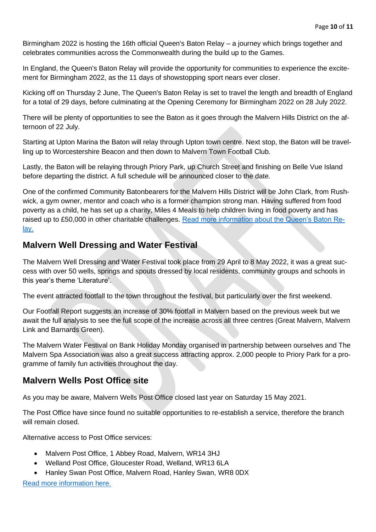Birmingham 2022 is hosting the 16th official Queen's Baton Relay – a journey which brings together and celebrates communities across the Commonwealth during the build up to the Games.

In England, the Queen's Baton Relay will provide the opportunity for communities to experience the excitement for Birmingham 2022, as the 11 days of showstopping sport nears ever closer.

Kicking off on Thursday 2 June, The Queen's Baton Relay is set to travel the length and breadth of England for a total of 29 days, before culminating at the Opening Ceremony for Birmingham 2022 on 28 July 2022.

There will be plenty of opportunities to see the Baton as it goes through the Malvern Hills District on the afternoon of 22 July.

Starting at Upton Marina the Baton will relay through Upton town centre. Next stop, the Baton will be travelling up to Worcestershire Beacon and then down to Malvern Town Football Club.

Lastly, the Baton will be relaying through Priory Park, up Church Street and finishing on Belle Vue Island before departing the district. A full schedule will be announced closer to the date.

One of the confirmed Community Batonbearers for the Malvern Hills District will be John Clark, from Rushwick, a gym owner, mentor and coach who is a former champion strong man. Having suffered from food poverty as a child, he has set up a charity, Miles 4 Meals to help children living in food poverty and has raised up to £50,000 in other charitable challenges. [Read more information about the Queen's Baton Re](http://www.malvernhills.gov.uk/news-alerts/birmingham-2022-queen-s-baton-relay-to-visit-malvern-hills-district-as-full-england-route-revealed)[lay.](http://www.malvernhills.gov.uk/news-alerts/birmingham-2022-queen-s-baton-relay-to-visit-malvern-hills-district-as-full-england-route-revealed)

## **Malvern Well Dressing and Water Festival**

The Malvern Well Dressing and Water Festival took place from 29 April to 8 May 2022, it was a great success with over 50 wells, springs and spouts dressed by local residents, community groups and schools in this year's theme 'Literature'.

The event attracted footfall to the town throughout the festival, but particularly over the first weekend.

Our Footfall Report suggests an increase of 30% footfall in Malvern based on the previous week but we await the full analysis to see the full scope of the increase across all three centres (Great Malvern, Malvern Link and Barnards Green).

The Malvern Water Festival on Bank Holiday Monday organised in partnership between ourselves and The Malvern Spa Association was also a great success attracting approx. 2,000 people to Priory Park for a programme of family fun activities throughout the day.

## **Malvern Wells Post Office site**

As you may be aware, Malvern Wells Post Office closed last year on Saturday 15 May 2021.

The Post Office have since found no suitable opportunities to re-establish a service, therefore the branch will remain closed.

Alternative access to Post Office services:

- Malvern Post Office, 1 Abbey Road, Malvern, WR14 3HJ
- Welland Post Office, Gloucester Road, Welland, WR13 6LA
- Hanley Swan Post Office, Malvern Road, Hanley Swan, WR8 0DX

[Read more information here.](http://www.postofficeviews.co.uk/national-consultation-team/malvern-wells-wr14-4hf-241247)